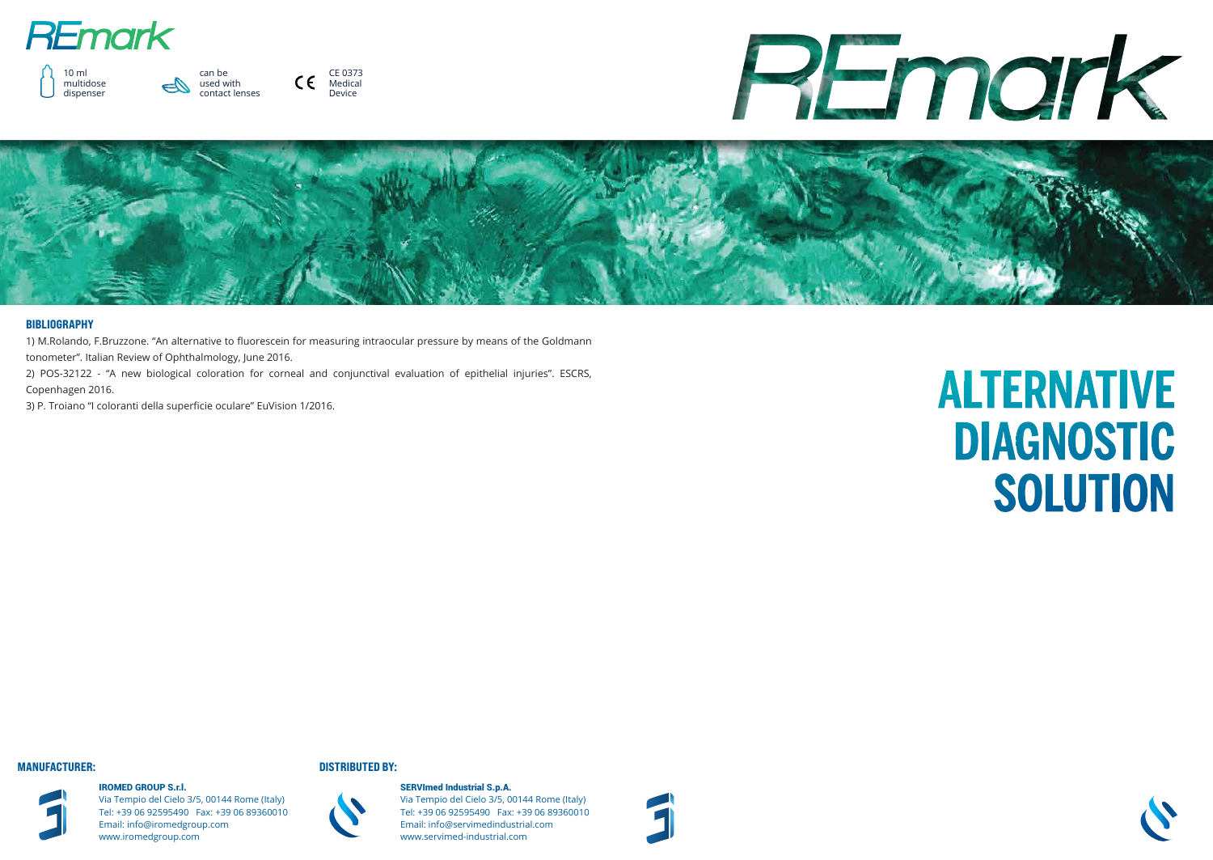





CE 0373  $C \in$ Medical Device





SERVImed Industrial S.p.A. Via Tempio del Cielo 3/5, 00144 Rome (Italy) Tel: +39 06 92595490 Fax: +39 06 89360010 Email: info@servimedindustrial.com www.servimed-industrial.com



# **ALTERNATIVE DIAGNOSTIC** SOLUTION



IROMED GROUP S.r.l. Via Tempio del Cielo 3/5, 00144 Rome (Italy) Tel: +39 06 92595490 Fax: +39 06 89360010 Email: info@iromedgroup.com www.iromedgroup.com

### MANUFACTURER: DISTRIBUTED BY:



### BIBLIOGRAPHY

1) M.Rolando, F.Bruzzone. "An alternative to fluorescein for measuring intraocular pressure by means of the Goldmann

tonometer". Italian Review of Ophthalmology, June 2016.

2) POS-32122 - "A new biological coloration for corneal and conjunctival evaluation of epithelial injuries". ESCRS, Copenhagen 2016.

3) P. Troiano "I coloranti della superficie oculare" EuVision 1/2016.